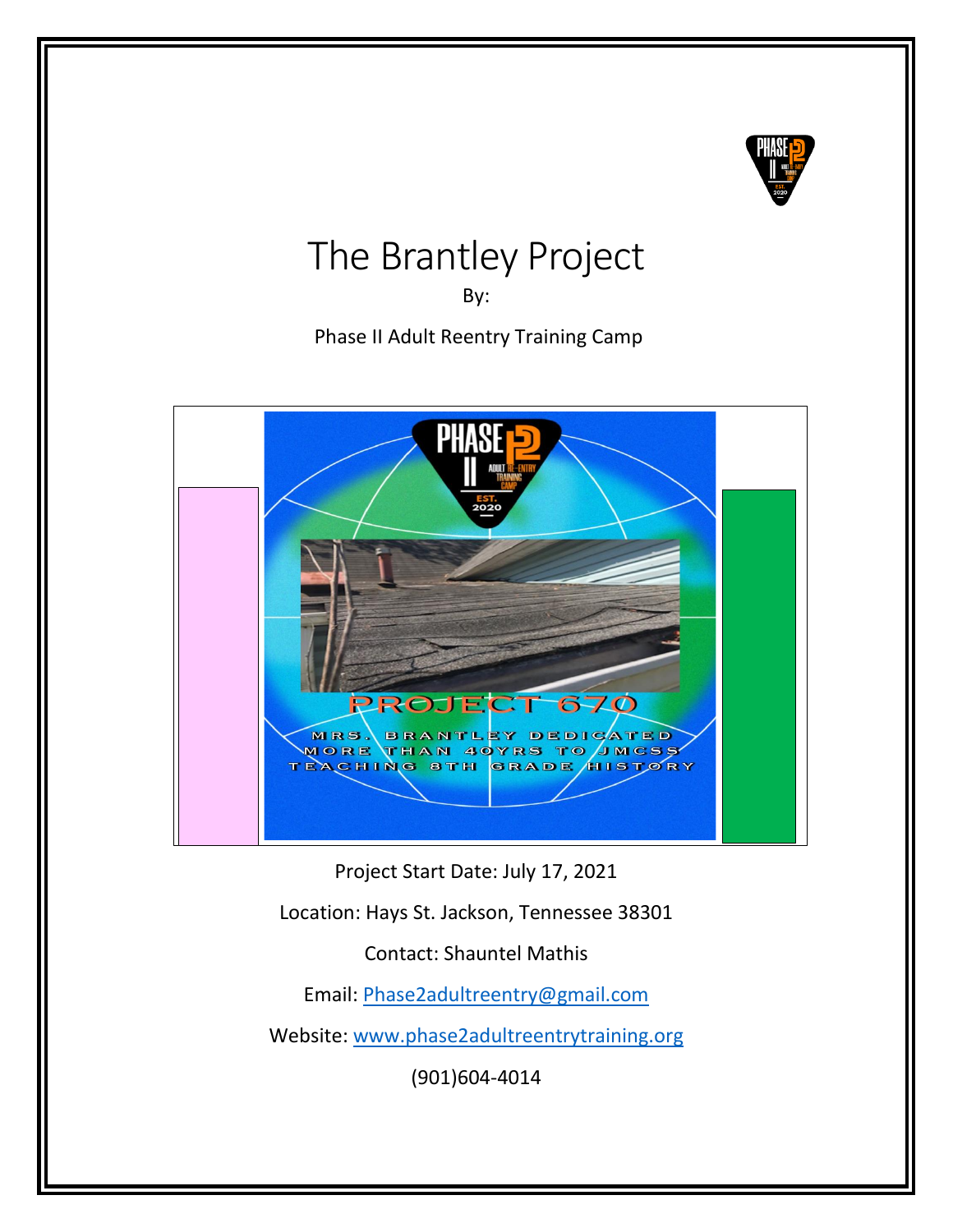

# The Brantley Project

By:

Phase II Adult Reentry Training Camp



Project Start Date: July 17, 2021

Location: Hays St. Jackson, Tennessee 38301

Contact: Shauntel Mathis

Email: [Phase2adultreentry@gmail.com](mailto:Phase2adultreentry@gmail.com)

Website: [www.phase2adultreentrytraining.org](http://www.phase2adultreentrytraining.org/)

(901)604-4014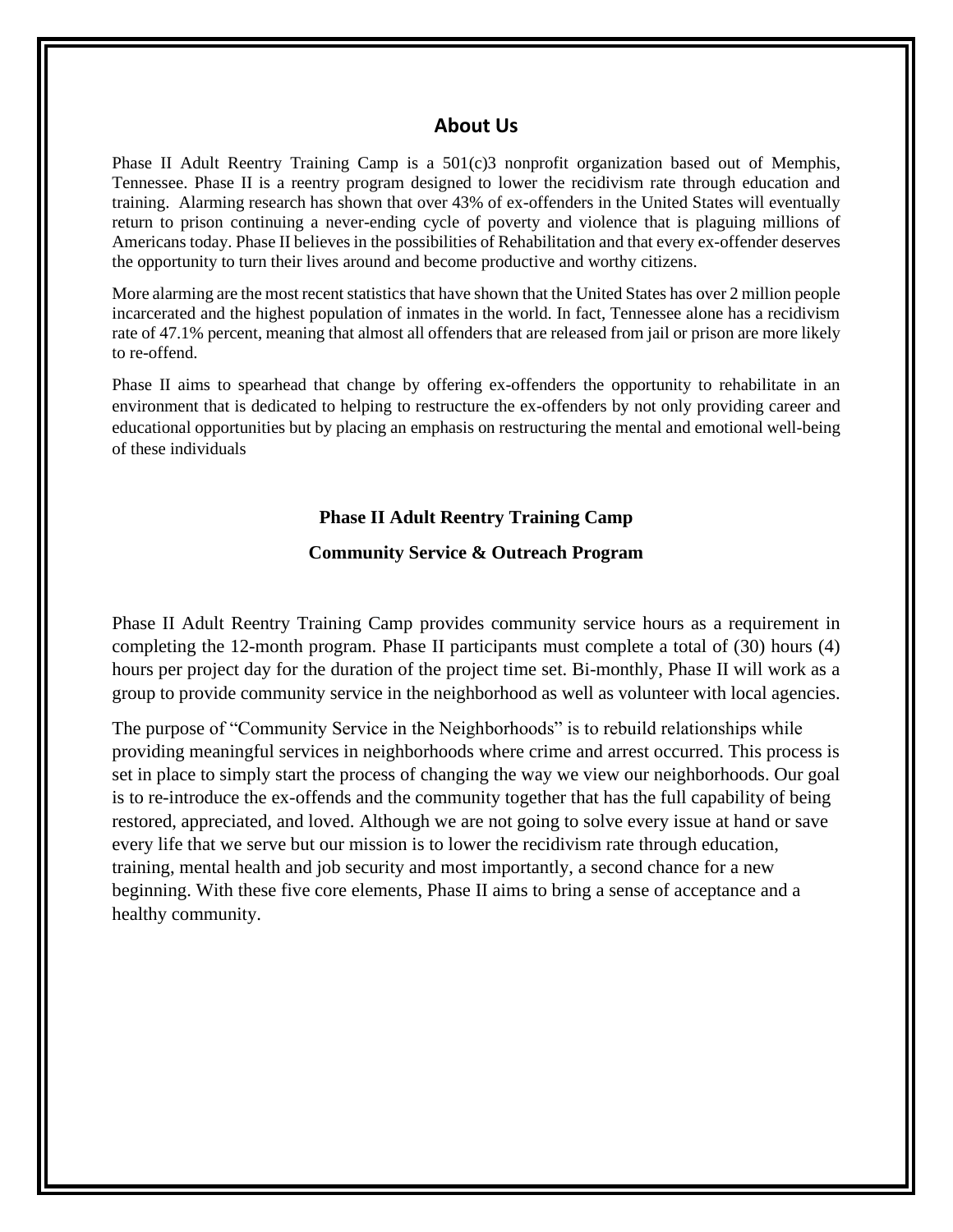#### **About Us**

Phase II Adult Reentry Training Camp is a 501(c)3 nonprofit organization based out of Memphis, Tennessee. Phase II is a reentry program designed to lower the recidivism rate through education and training. Alarming research has shown that over 43% of ex-offenders in the United States will eventually return to prison continuing a never-ending cycle of poverty and violence that is plaguing millions of Americans today. Phase II believes in the possibilities of Rehabilitation and that every ex-offender deserves the opportunity to turn their lives around and become productive and worthy citizens.

More alarming are the most recent statistics that have shown that the United States has over 2 million people incarcerated and the highest population of inmates in the world. In fact, Tennessee alone has a recidivism rate of 47.1% percent, meaning that almost all offenders that are released from jail or prison are more likely to re-offend.

Phase II aims to spearhead that change by offering ex-offenders the opportunity to rehabilitate in an environment that is dedicated to helping to restructure the ex-offenders by not only providing career and educational opportunities but by placing an emphasis on restructuring the mental and emotional well-being of these individuals

#### **Phase II Adult Reentry Training Camp**

#### **Community Service & Outreach Program**

Phase II Adult Reentry Training Camp provides community service hours as a requirement in completing the 12-month program. Phase II participants must complete a total of (30) hours (4) hours per project day for the duration of the project time set. Bi-monthly, Phase II will work as a group to provide community service in the neighborhood as well as volunteer with local agencies.

The purpose of "Community Service in the Neighborhoods" is to rebuild relationships while providing meaningful services in neighborhoods where crime and arrest occurred. This process is set in place to simply start the process of changing the way we view our neighborhoods. Our goal is to re-introduce the ex-offends and the community together that has the full capability of being restored, appreciated, and loved. Although we are not going to solve every issue at hand or save every life that we serve but our mission is to lower the recidivism rate through education, training, mental health and job security and most importantly, a second chance for a new beginning. With these five core elements, Phase II aims to bring a sense of acceptance and a healthy community.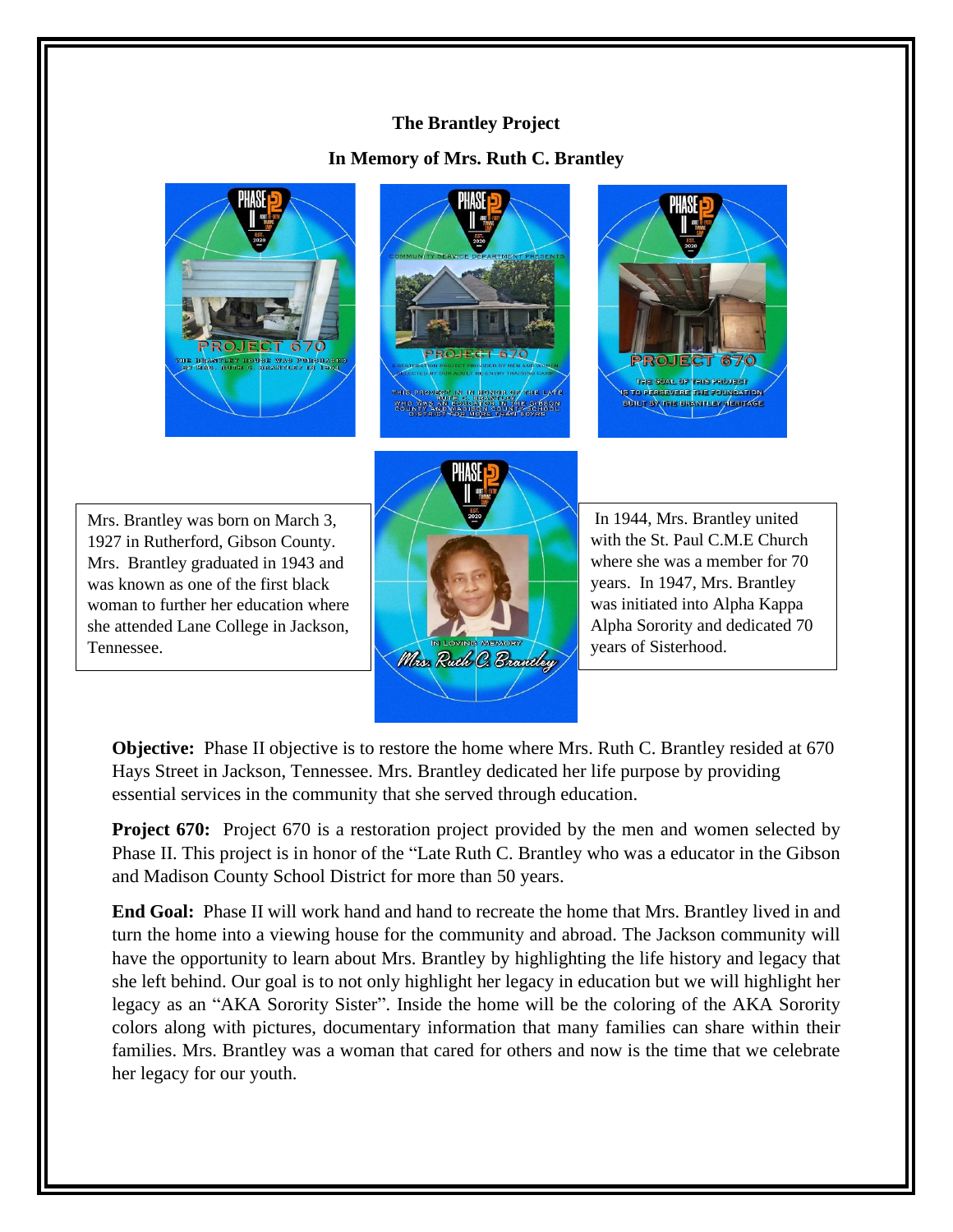## **The Brantley Project**

## **In Memory of Mrs. Ruth C. Brantley**







Mrs. Brantley was born on March 3, 1927 in Rutherford, Gibson County. Mrs. Brantley graduated in 1943 and was known as one of the first black woman to further her education where she attended Lane College in Jackson, Tennessee.



In 1944, Mrs. Brantley united with the St. Paul C.M.E Church where she was a member for 70 years. In 1947, Mrs. Brantley was initiated into Alpha Kappa Alpha Sorority and dedicated 70 years of Sisterhood.

**Objective:** Phase II objective is to restore the home where Mrs. Ruth C. Brantley resided at 670 Hays Street in Jackson, Tennessee. Mrs. Brantley dedicated her life purpose by providing essential services in the community that she served through education.

**Project 670:** Project 670 is a restoration project provided by the men and women selected by Phase II. This project is in honor of the "Late Ruth C. Brantley who was a educator in the Gibson and Madison County School District for more than 50 years.

**End Goal:** Phase II will work hand and hand to recreate the home that Mrs. Brantley lived in and turn the home into a viewing house for the community and abroad. The Jackson community will have the opportunity to learn about Mrs. Brantley by highlighting the life history and legacy that she left behind. Our goal is to not only highlight her legacy in education but we will highlight her legacy as an "AKA Sorority Sister". Inside the home will be the coloring of the AKA Sorority colors along with pictures, documentary information that many families can share within their families. Mrs. Brantley was a woman that cared for others and now is the time that we celebrate her legacy for our youth.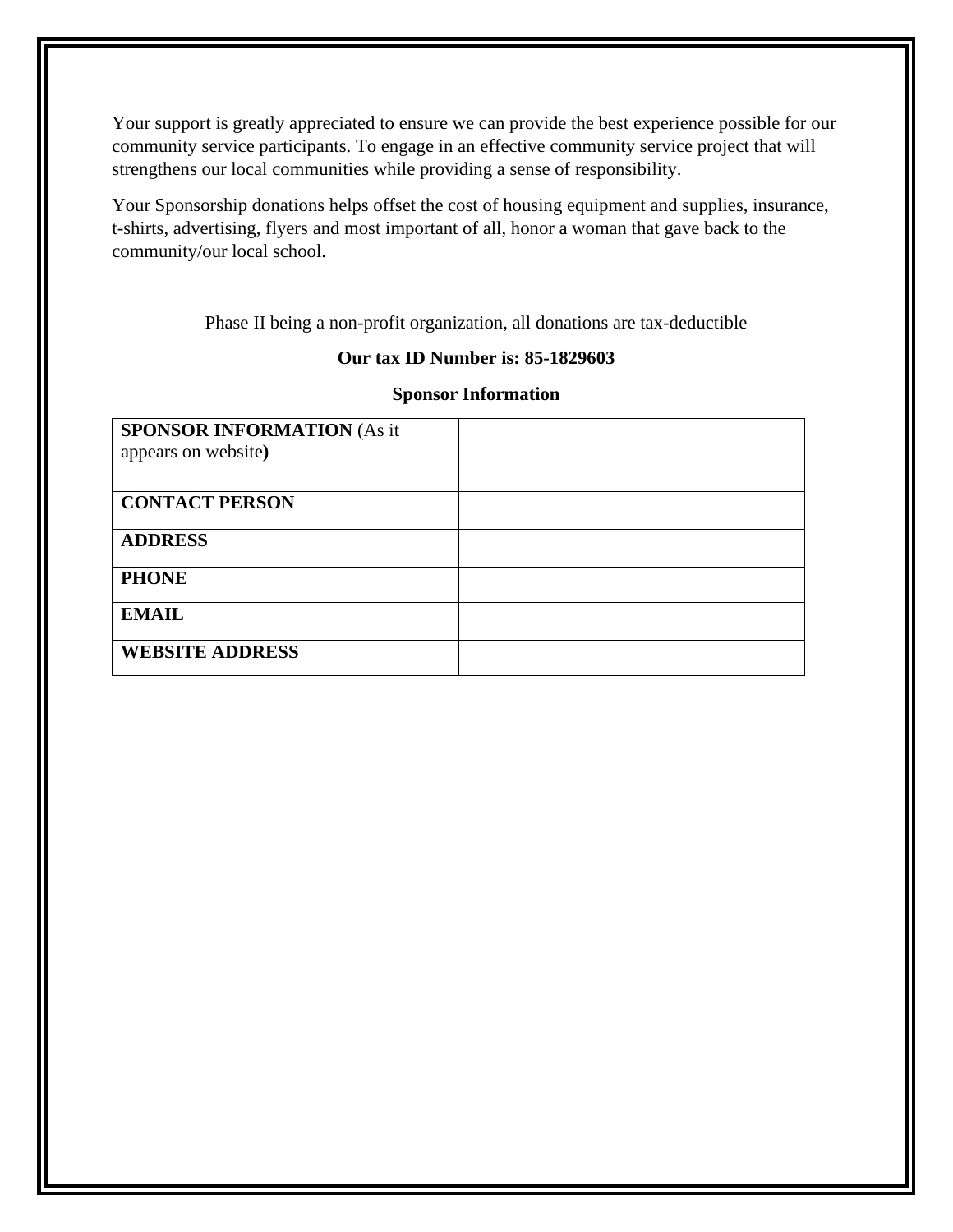Your support is greatly appreciated to ensure we can provide the best experience possible for our community service participants. To engage in an effective community service project that will strengthens our local communities while providing a sense of responsibility.

Your Sponsorship donations helps offset the cost of housing equipment and supplies, insurance, t-shirts, advertising, flyers and most important of all, honor a woman that gave back to the community/our local school.

Phase II being a non-profit organization, all donations are tax-deductible

### **Our tax ID Number is: 85-1829603**

### **Sponsor Information**

| <b>SPONSOR INFORMATION (As it</b> |  |
|-----------------------------------|--|
| appears on website)               |  |
|                                   |  |
| <b>CONTACT PERSON</b>             |  |
| <b>ADDRESS</b>                    |  |
| <b>PHONE</b>                      |  |
| <b>EMAIL</b>                      |  |
| <b>WEBSITE ADDRESS</b>            |  |